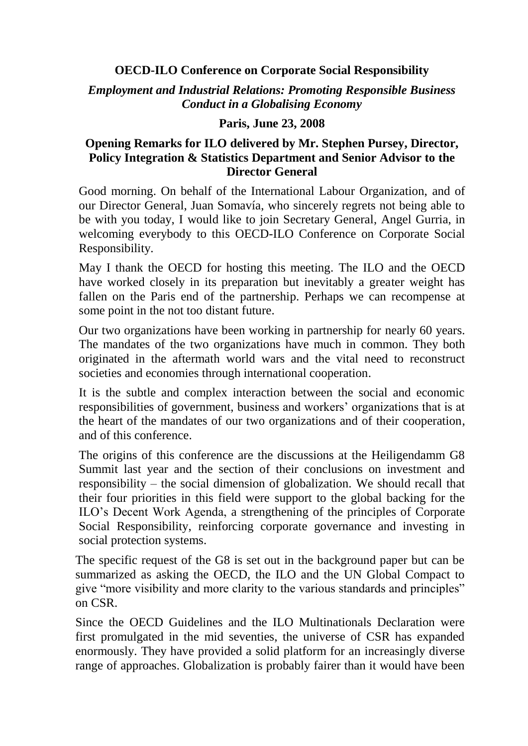## **OECD-ILO Conference on Corporate Social Responsibility**

*Employment and Industrial Relations: Promoting Responsible Business Conduct in a Globalising Economy*

## **Paris, June 23, 2008**

## **Opening Remarks for ILO delivered by Mr. Stephen Pursey, Director, Policy Integration & Statistics Department and Senior Advisor to the Director General**

Good morning. On behalf of the International Labour Organization, and of our Director General, Juan Somavía, who sincerely regrets not being able to be with you today, I would like to join Secretary General, Angel Gurria, in welcoming everybody to this OECD-ILO Conference on Corporate Social Responsibility.

May I thank the OECD for hosting this meeting. The ILO and the OECD have worked closely in its preparation but inevitably a greater weight has fallen on the Paris end of the partnership. Perhaps we can recompense at some point in the not too distant future.

Our two organizations have been working in partnership for nearly 60 years. The mandates of the two organizations have much in common. They both originated in the aftermath world wars and the vital need to reconstruct societies and economies through international cooperation.

It is the subtle and complex interaction between the social and economic responsibilities of government, business and workers' organizations that is at the heart of the mandates of our two organizations and of their cooperation, and of this conference.

The origins of this conference are the discussions at the Heiligendamm G8 Summit last year and the section of their conclusions on investment and responsibility – the social dimension of globalization. We should recall that their four priorities in this field were support to the global backing for the ILO's Decent Work Agenda, a strengthening of the principles of Corporate Social Responsibility, reinforcing corporate governance and investing in social protection systems.

The specific request of the G8 is set out in the background paper but can be summarized as asking the OECD, the ILO and the UN Global Compact to give "more visibility and more clarity to the various standards and principles" on CSR.

Since the OECD Guidelines and the ILO Multinationals Declaration were first promulgated in the mid seventies, the universe of CSR has expanded enormously. They have provided a solid platform for an increasingly diverse range of approaches. Globalization is probably fairer than it would have been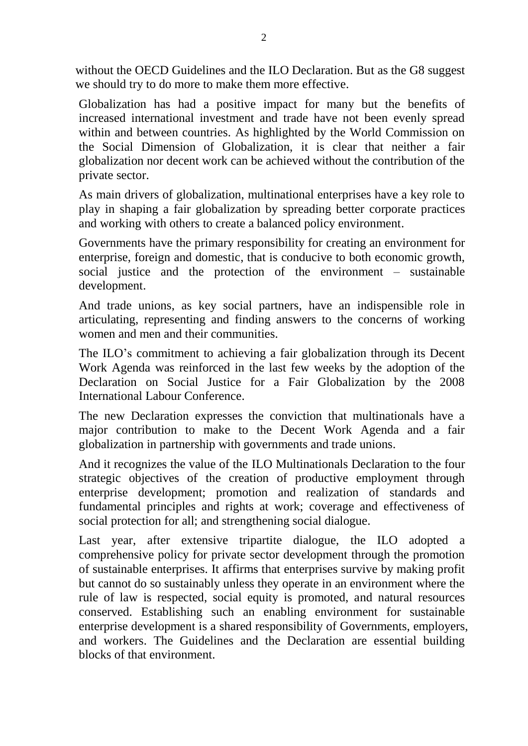without the OECD Guidelines and the ILO Declaration. But as the G8 suggest we should try to do more to make them more effective.

Globalization has had a positive impact for many but the benefits of increased international investment and trade have not been evenly spread within and between countries. As highlighted by the World Commission on the Social Dimension of Globalization, it is clear that neither a fair globalization nor decent work can be achieved without the contribution of the private sector.

As main drivers of globalization, multinational enterprises have a key role to play in shaping a fair globalization by spreading better corporate practices and working with others to create a balanced policy environment.

Governments have the primary responsibility for creating an environment for enterprise, foreign and domestic, that is conducive to both economic growth, social justice and the protection of the environment – sustainable development.

And trade unions, as key social partners, have an indispensible role in articulating, representing and finding answers to the concerns of working women and men and their communities.

The ILO's commitment to achieving a fair globalization through its Decent Work Agenda was reinforced in the last few weeks by the adoption of the Declaration on Social Justice for a Fair Globalization by the 2008 International Labour Conference.

The new Declaration expresses the conviction that multinationals have a major contribution to make to the Decent Work Agenda and a fair globalization in partnership with governments and trade unions.

And it recognizes the value of the ILO Multinationals Declaration to the four strategic objectives of the creation of productive employment through enterprise development; promotion and realization of standards and fundamental principles and rights at work; coverage and effectiveness of social protection for all; and strengthening social dialogue.

Last year, after extensive tripartite dialogue, the ILO adopted a comprehensive policy for private sector development through the promotion of sustainable enterprises. It affirms that enterprises survive by making profit but cannot do so sustainably unless they operate in an environment where the rule of law is respected, social equity is promoted, and natural resources conserved. Establishing such an enabling environment for sustainable enterprise development is a shared responsibility of Governments, employers, and workers. The Guidelines and the Declaration are essential building blocks of that environment.